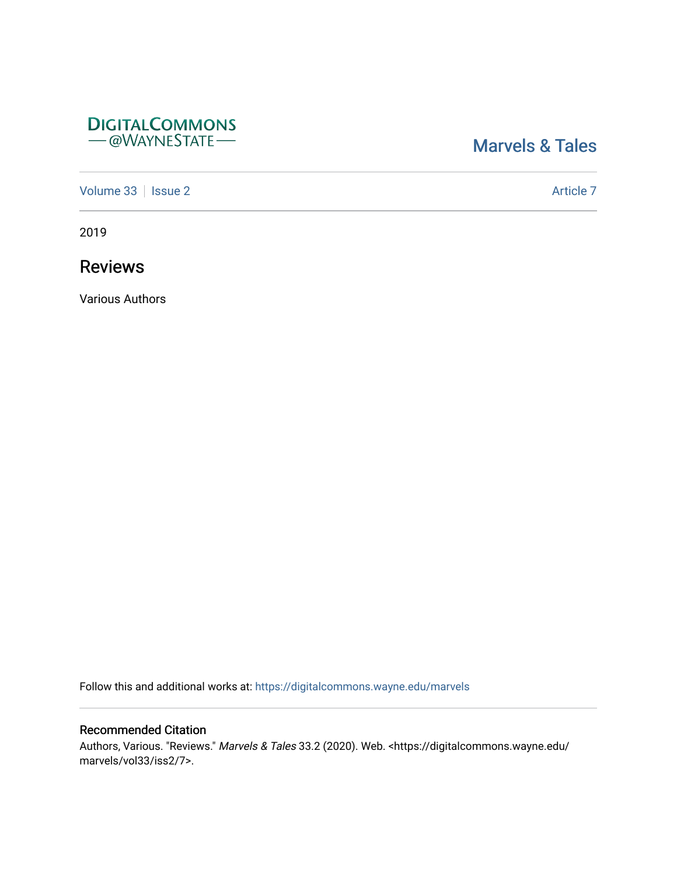# **DIGITALCOMMONS** - @WAYNESTATE-

# [Marvels & Tales](https://digitalcommons.wayne.edu/marvels)

[Volume 33](https://digitalcommons.wayne.edu/marvels/vol33) | [Issue 2](https://digitalcommons.wayne.edu/marvels/vol33/iss2) Article 7

2019

Reviews

Various Authors

Follow this and additional works at: [https://digitalcommons.wayne.edu/marvels](https://digitalcommons.wayne.edu/marvels?utm_source=digitalcommons.wayne.edu%2Fmarvels%2Fvol33%2Fiss2%2F7&utm_medium=PDF&utm_campaign=PDFCoverPages) 

## Recommended Citation

Authors, Various. "Reviews." Marvels & Tales 33.2 (2020). Web. <https://digitalcommons.wayne.edu/ marvels/vol33/iss2/7>.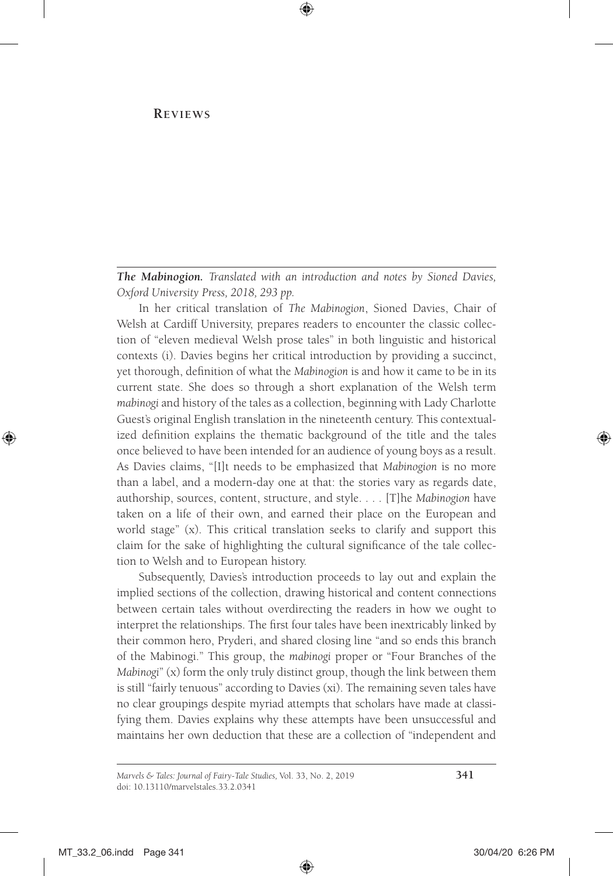#### **Reviews**

*The Mabinogion. Translated with an introduction and notes by Sioned Davies, Oxford University Press, 2018, 293 pp.*

In her critical translation of *The Mabinogion*, Sioned Davies, Chair of Welsh at Cardiff University, prepares readers to encounter the classic collection of "eleven medieval Welsh prose tales" in both linguistic and historical contexts (i). Davies begins her critical introduction by providing a succinct, yet thorough, definition of what the *Mabinogion* is and how it came to be in its current state. She does so through a short explanation of the Welsh term *mabinogi* and history of the tales as a collection, beginning with Lady Charlotte Guest's original English translation in the nineteenth century. This contextualized definition explains the thematic background of the title and the tales once believed to have been intended for an audience of young boys as a result. As Davies claims, "[I]t needs to be emphasized that *Mabinogion* is no more than a label, and a modern-day one at that: the stories vary as regards date, authorship, sources, content, structure, and style. . . . [T]he *Mabinogion* have taken on a life of their own, and earned their place on the European and world stage" (x). This critical translation seeks to clarify and support this claim for the sake of highlighting the cultural significance of the tale collection to Welsh and to European history.

Subsequently, Davies's introduction proceeds to lay out and explain the implied sections of the collection, drawing historical and content connections between certain tales without overdirecting the readers in how we ought to interpret the relationships. The first four tales have been inextricably linked by their common hero, Pryderi, and shared closing line "and so ends this branch of the Mabinogi." This group, the *mabinogi* proper or "Four Branches of the *Mabinogi*" (x) form the only truly distinct group, though the link between them is still "fairly tenuous" according to Davies (xi). The remaining seven tales have no clear groupings despite myriad attempts that scholars have made at classifying them. Davies explains why these attempts have been unsuccessful and maintains her own deduction that these are a collection of "independent and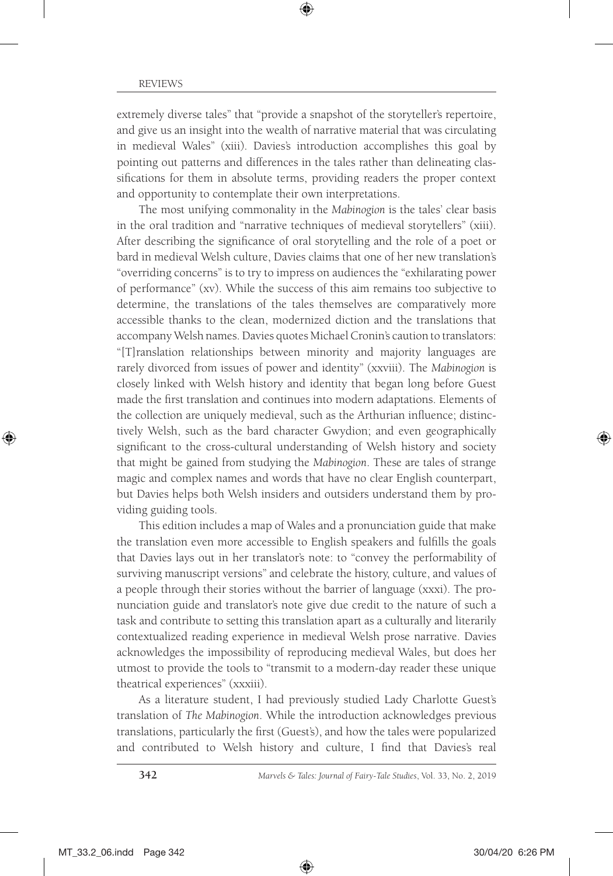extremely diverse tales" that "provide a snapshot of the storyteller's repertoire, and give us an insight into the wealth of narrative material that was circulating in medieval Wales" (xiii). Davies's introduction accomplishes this goal by pointing out patterns and differences in the tales rather than delineating classifications for them in absolute terms, providing readers the proper context and opportunity to contemplate their own interpretations.

The most unifying commonality in the *Mabinogion* is the tales' clear basis in the oral tradition and "narrative techniques of medieval storytellers" (xiii). After describing the significance of oral storytelling and the role of a poet or bard in medieval Welsh culture, Davies claims that one of her new translation's "overriding concerns" is to try to impress on audiences the "exhilarating power of performance" (xv). While the success of this aim remains too subjective to determine, the translations of the tales themselves are comparatively more accessible thanks to the clean, modernized diction and the translations that accompany Welsh names. Davies quotes Michael Cronin's caution to translators: "[T]ranslation relationships between minority and majority languages are rarely divorced from issues of power and identity" (xxviii). The *Mabinogion* is closely linked with Welsh history and identity that began long before Guest made the first translation and continues into modern adaptations. Elements of the collection are uniquely medieval, such as the Arthurian influence; distinctively Welsh, such as the bard character Gwydion; and even geographically significant to the cross-cultural understanding of Welsh history and society that might be gained from studying the *Mabinogion*. These are tales of strange magic and complex names and words that have no clear English counterpart, but Davies helps both Welsh insiders and outsiders understand them by providing guiding tools.

This edition includes a map of Wales and a pronunciation guide that make the translation even more accessible to English speakers and fulfills the goals that Davies lays out in her translator's note: to "convey the performability of surviving manuscript versions" and celebrate the history, culture, and values of a people through their stories without the barrier of language (xxxi). The pronunciation guide and translator's note give due credit to the nature of such a task and contribute to setting this translation apart as a culturally and literarily contextualized reading experience in medieval Welsh prose narrative. Davies acknowledges the impossibility of reproducing medieval Wales, but does her utmost to provide the tools to "transmit to a modern-day reader these unique theatrical experiences" (xxxiii).

As a literature student, I had previously studied Lady Charlotte Guest's translation of *The Mabinogion*. While the introduction acknowledges previous translations, particularly the first (Guest's), and how the tales were popularized and contributed to Welsh history and culture, I find that Davies's real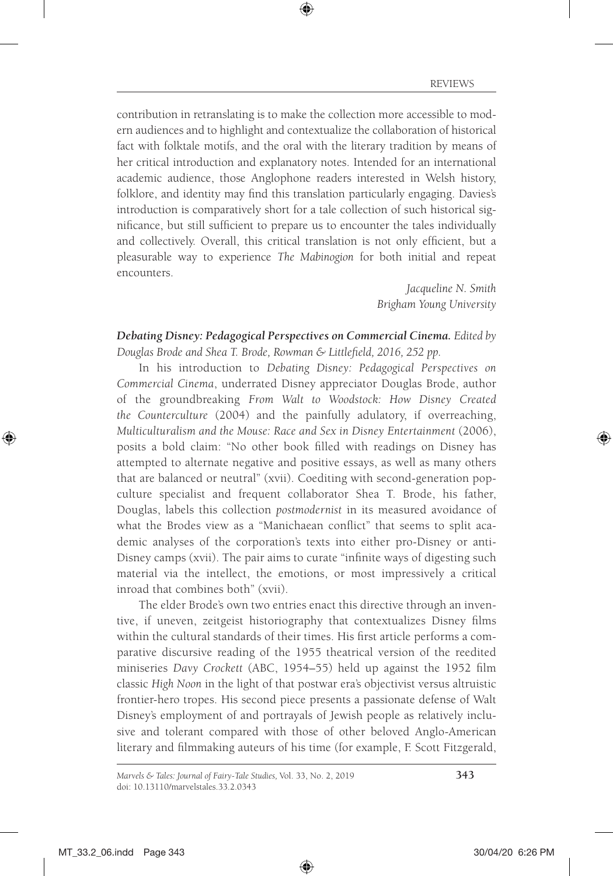contribution in retranslating is to make the collection more accessible to modern audiences and to highlight and contextualize the collaboration of historical fact with folktale motifs, and the oral with the literary tradition by means of her critical introduction and explanatory notes. Intended for an international academic audience, those Anglophone readers interested in Welsh history, folklore, and identity may find this translation particularly engaging. Davies's introduction is comparatively short for a tale collection of such historical significance, but still sufficient to prepare us to encounter the tales individually and collectively. Overall, this critical translation is not only efficient, but a pleasurable way to experience *The Mabinogion* for both initial and repeat encounters.

> *Jacqueline N. Smith Brigham Young University*

#### *Debating Disney: Pedagogical Perspectives on Commercial Cinema. Edited by Douglas Brode and Shea T. Brode, Rowman & Littlefield, 2016, 252 pp.*

In his introduction to *Debating Disney: Pedagogical Perspectives on Commercial Cinema*, underrated Disney appreciator Douglas Brode, author of the groundbreaking *From Walt to Woodstock: How Disney Created the Counterculture* (2004) and the painfully adulatory, if overreaching, *Multiculturalism and the Mouse: Race and Sex in Disney Entertainment* (2006), posits a bold claim: "No other book filled with readings on Disney has attempted to alternate negative and positive essays, as well as many others that are balanced or neutral" (xvii). Coediting with second-generation popculture specialist and frequent collaborator Shea T. Brode, his father, Douglas, labels this collection *postmodernist* in its measured avoidance of what the Brodes view as a "Manichaean conflict" that seems to split academic analyses of the corporation's texts into either pro-Disney or anti-Disney camps (xvii). The pair aims to curate "infinite ways of digesting such material via the intellect, the emotions, or most impressively a critical inroad that combines both" (xvii).

The elder Brode's own two entries enact this directive through an inventive, if uneven, zeitgeist historiography that contextualizes Disney films within the cultural standards of their times. His first article performs a comparative discursive reading of the 1955 theatrical version of the reedited miniseries *Davy Crockett* (ABC, 1954–55) held up against the 1952 film classic *High Noon* in the light of that postwar era's objectivist versus altruistic frontier-hero tropes. His second piece presents a passionate defense of Walt Disney's employment of and portrayals of Jewish people as relatively inclusive and tolerant compared with those of other beloved Anglo-American literary and filmmaking auteurs of his time (for example, F. Scott Fitzgerald,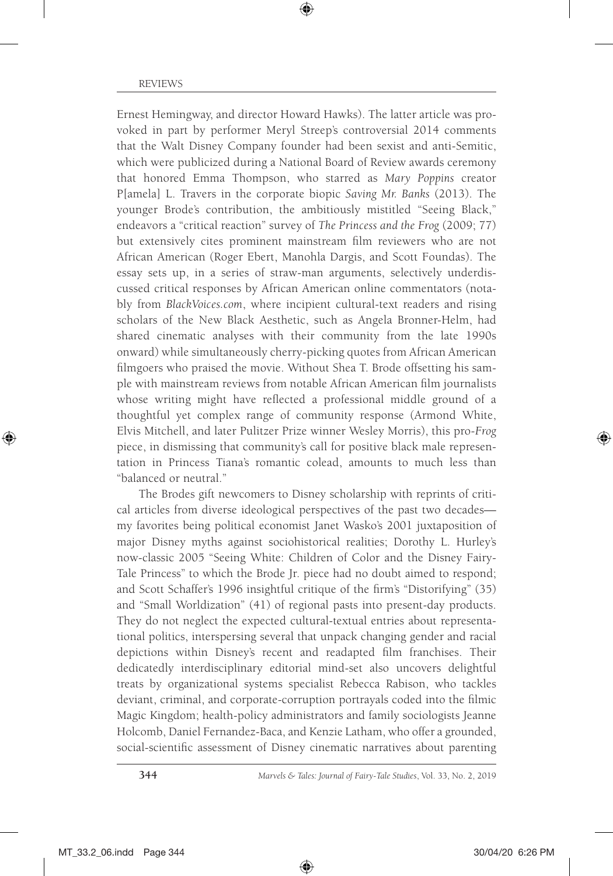Ernest Hemingway, and director Howard Hawks). The latter article was provoked in part by performer Meryl Streep's controversial 2014 comments that the Walt Disney Company founder had been sexist and anti-Semitic, which were publicized during a National Board of Review awards ceremony that honored Emma Thompson, who starred as *Mary Poppins* creator P[amela] L. Travers in the corporate biopic *Saving Mr. Banks* (2013). The younger Brode's contribution, the ambitiously mistitled "Seeing Black," endeavors a "critical reaction" survey of *The Princess and the Frog* (2009; 77) but extensively cites prominent mainstream film reviewers who are not African American (Roger Ebert, Manohla Dargis, and Scott Foundas). The essay sets up, in a series of straw-man arguments, selectively underdiscussed critical responses by African American online commentators (notably from *[BlackVoices.com](www.BlackVoices.com)*, where incipient cultural-text readers and rising scholars of the New Black Aesthetic, such as Angela Bronner-Helm, had shared cinematic analyses with their community from the late 1990s onward) while simultaneously cherry-picking quotes from African American filmgoers who praised the movie. Without Shea T. Brode offsetting his sample with mainstream reviews from notable African American film journalists whose writing might have reflected a professional middle ground of a thoughtful yet complex range of community response (Armond White, Elvis Mitchell, and later Pulitzer Prize winner Wesley Morris), this pro-*Frog* piece, in dismissing that community's call for positive black male representation in Princess Tiana's romantic colead, amounts to much less than "balanced or neutral."

The Brodes gift newcomers to Disney scholarship with reprints of critical articles from diverse ideological perspectives of the past two decades my favorites being political economist Janet Wasko's 2001 juxtaposition of major Disney myths against sociohistorical realities; Dorothy L. Hurley's now-classic 2005 "Seeing White: Children of Color and the Disney Fairy-Tale Princess" to which the Brode Jr. piece had no doubt aimed to respond; and Scott Schaffer's 1996 insightful critique of the firm's "Distorifying" (35) and "Small Worldization" (41) of regional pasts into present-day products. They do not neglect the expected cultural-textual entries about representational politics, interspersing several that unpack changing gender and racial depictions within Disney's recent and readapted film franchises. Their dedicatedly interdisciplinary editorial mind-set also uncovers delightful treats by organizational systems specialist Rebecca Rabison, who tackles deviant, criminal, and corporate-corruption portrayals coded into the filmic Magic Kingdom; health-policy administrators and family sociologists Jeanne Holcomb, Daniel Fernandez-Baca, and Kenzie Latham, who offer a grounded, social-scientific assessment of Disney cinematic narratives about parenting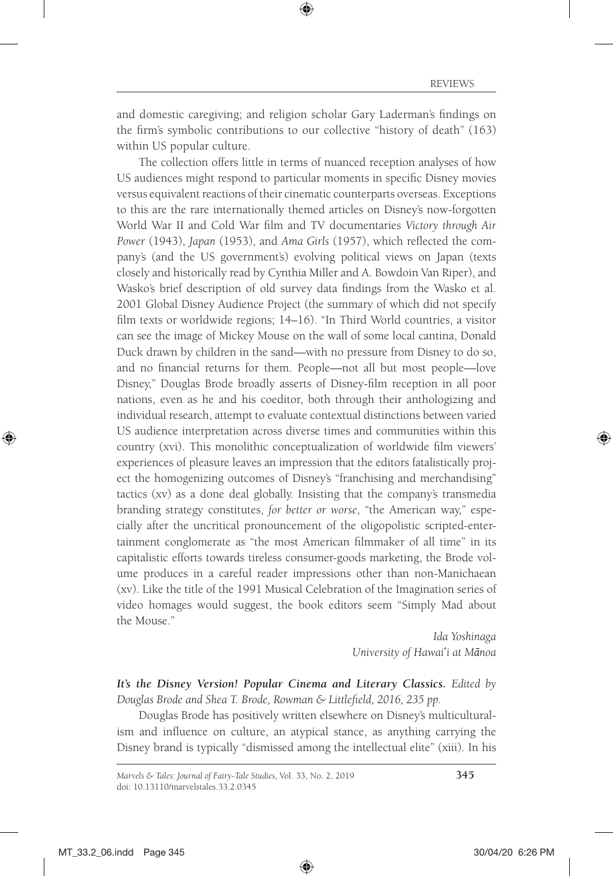and domestic caregiving; and religion scholar Gary Laderman's findings on the firm's symbolic contributions to our collective "history of death" (163) within US popular culture.

The collection offers little in terms of nuanced reception analyses of how US audiences might respond to particular moments in specific Disney movies versus equivalent reactions of their cinematic counterparts overseas. Exceptions to this are the rare internationally themed articles on Disney's now-forgotten World War II and Cold War film and TV documentaries *Victory through Air Power* (1943), *Japan* (1953), and *Ama Girls* (1957), which reflected the company's (and the US government's) evolving political views on Japan (texts closely and historically read by Cynthia Miller and A. Bowdoin Van Riper), and Wasko's brief description of old survey data findings from the Wasko et al. 2001 Global Disney Audience Project (the summary of which did not specify film texts or worldwide regions; 14–16). "In Third World countries, a visitor can see the image of Mickey Mouse on the wall of some local cantina, Donald Duck drawn by children in the sand—with no pressure from Disney to do so, and no financial returns for them. People—not all but most people—love Disney," Douglas Brode broadly asserts of Disney-film reception in all poor nations, even as he and his coeditor, both through their anthologizing and individual research, attempt to evaluate contextual distinctions between varied US audience interpretation across diverse times and communities within this country (xvi). This monolithic conceptualization of worldwide film viewers' experiences of pleasure leaves an impression that the editors fatalistically project the homogenizing outcomes of Disney's "franchising and merchandising" tactics (xv) as a done deal globally. Insisting that the company's transmedia branding strategy constitutes, *for better or worse*, "the American way," especially after the uncritical pronouncement of the oligopolistic scripted-entertainment conglomerate as "the most American filmmaker of all time" in its capitalistic efforts towards tireless consumer-goods marketing, the Brode volume produces in a careful reader impressions other than non-Manichaean (xv). Like the title of the 1991 Musical Celebration of the Imagination series of video homages would suggest, the book editors seem "Simply Mad about the Mouse."

> *Ida Yoshinaga University of Hawai*ʻ*i at Mānoa*

*It's the Disney Version! Popular Cinema and Literary Classics. Edited by Douglas Brode and Shea T. Brode, Rowman & Littlefield, 2016, 235 pp.*

Douglas Brode has positively written elsewhere on Disney's multiculturalism and influence on culture, an atypical stance, as anything carrying the Disney brand is typically "dismissed among the intellectual elite" (xiii). In his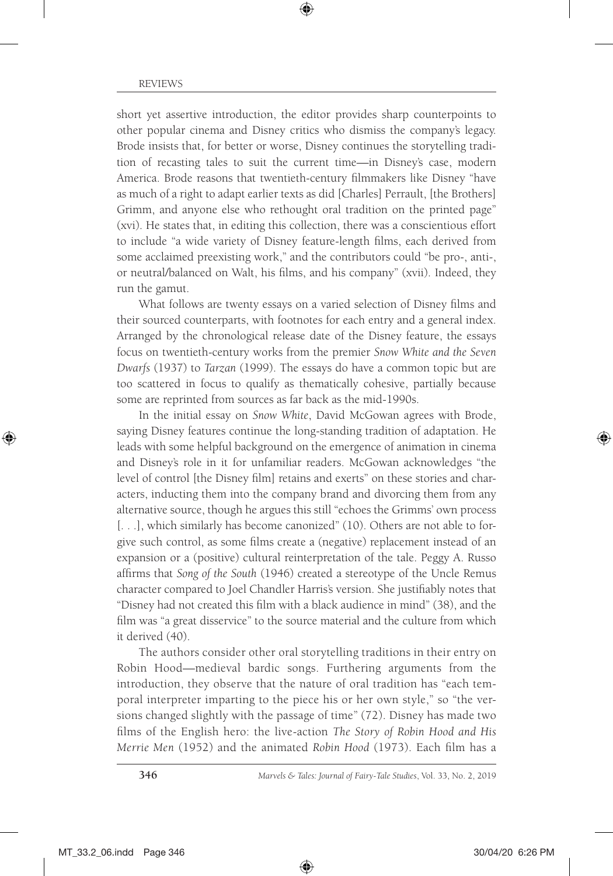short yet assertive introduction, the editor provides sharp counterpoints to other popular cinema and Disney critics who dismiss the company's legacy. Brode insists that, for better or worse, Disney continues the storytelling tradition of recasting tales to suit the current time—in Disney's case, modern America. Brode reasons that twentieth-century filmmakers like Disney "have as much of a right to adapt earlier texts as did [Charles] Perrault, [the Brothers] Grimm, and anyone else who rethought oral tradition on the printed page" (xvi). He states that, in editing this collection, there was a conscientious effort to include "a wide variety of Disney feature-length films, each derived from some acclaimed preexisting work," and the contributors could "be pro-, anti-, or neutral/balanced on Walt, his films, and his company" (xvii). Indeed, they run the gamut.

What follows are twenty essays on a varied selection of Disney films and their sourced counterparts, with footnotes for each entry and a general index. Arranged by the chronological release date of the Disney feature, the essays focus on twentieth-century works from the premier *Snow White and the Seven Dwarfs* (1937) to *Tarzan* (1999). The essays do have a common topic but are too scattered in focus to qualify as thematically cohesive, partially because some are reprinted from sources as far back as the mid-1990s.

In the initial essay on *Snow White*, David McGowan agrees with Brode, saying Disney features continue the long-standing tradition of adaptation. He leads with some helpful background on the emergence of animation in cinema and Disney's role in it for unfamiliar readers. McGowan acknowledges "the level of control [the Disney film] retains and exerts" on these stories and characters, inducting them into the company brand and divorcing them from any alternative source, though he argues this still "echoes the Grimms' own process [...], which similarly has become canonized" (10). Others are not able to forgive such control, as some films create a (negative) replacement instead of an expansion or a (positive) cultural reinterpretation of the tale. Peggy A. Russo affirms that *Song of the South* (1946) created a stereotype of the Uncle Remus character compared to Joel Chandler Harris's version. She justifiably notes that "Disney had not created this film with a black audience in mind" (38), and the film was "a great disservice" to the source material and the culture from which it derived (40).

The authors consider other oral storytelling traditions in their entry on Robin Hood—medieval bardic songs. Furthering arguments from the introduction, they observe that the nature of oral tradition has "each temporal interpreter imparting to the piece his or her own style," so "the versions changed slightly with the passage of time" (72). Disney has made two films of the English hero: the live-action *The Story of Robin Hood and His Merrie Men* (1952) and the animated *Robin Hood* (1973). Each film has a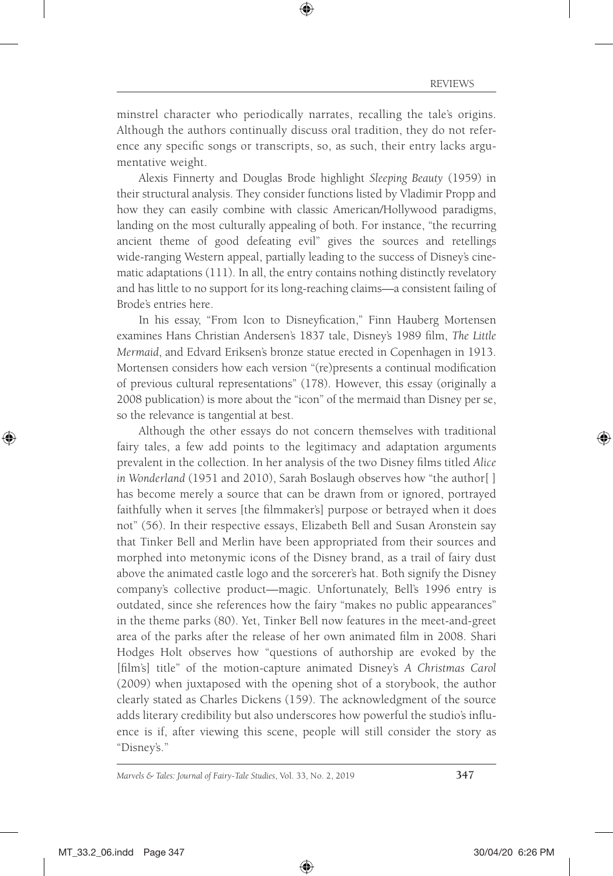minstrel character who periodically narrates, recalling the tale's origins. Although the authors continually discuss oral tradition, they do not reference any specific songs or transcripts, so, as such, their entry lacks argumentative weight.

Alexis Finnerty and Douglas Brode highlight *Sleeping Beauty* (1959) in their structural analysis. They consider functions listed by Vladimir Propp and how they can easily combine with classic American/Hollywood paradigms, landing on the most culturally appealing of both. For instance, "the recurring ancient theme of good defeating evil" gives the sources and retellings wide-ranging Western appeal, partially leading to the success of Disney's cinematic adaptations (111). In all, the entry contains nothing distinctly revelatory and has little to no support for its long-reaching claims—a consistent failing of Brode's entries here.

In his essay, "From Icon to Disneyfication," Finn Hauberg Mortensen examines Hans Christian Andersen's 1837 tale, Disney's 1989 film, *The Little Mermaid*, and Edvard Eriksen's bronze statue erected in Copenhagen in 1913. Mortensen considers how each version "(re)presents a continual modification of previous cultural representations" (178). However, this essay (originally a 2008 publication) is more about the "icon" of the mermaid than Disney per se, so the relevance is tangential at best.

Although the other essays do not concern themselves with traditional fairy tales, a few add points to the legitimacy and adaptation arguments prevalent in the collection. In her analysis of the two Disney films titled *Alice in Wonderland* (1951 and 2010), Sarah Boslaugh observes how "the author[ ] has become merely a source that can be drawn from or ignored, portrayed faithfully when it serves [the filmmaker's] purpose or betrayed when it does not" (56). In their respective essays, Elizabeth Bell and Susan Aronstein say that Tinker Bell and Merlin have been appropriated from their sources and morphed into metonymic icons of the Disney brand, as a trail of fairy dust above the animated castle logo and the sorcerer's hat. Both signify the Disney company's collective product—magic. Unfortunately, Bell's 1996 entry is outdated, since she references how the fairy "makes no public appearances" in the theme parks (80). Yet, Tinker Bell now features in the meet-and-greet area of the parks after the release of her own animated film in 2008. Shari Hodges Holt observes how "questions of authorship are evoked by the [film's] title" of the motion-capture animated Disney's *A Christmas Carol* (2009) when juxtaposed with the opening shot of a storybook, the author clearly stated as Charles Dickens (159). The acknowledgment of the source adds literary credibility but also underscores how powerful the studio's influence is if, after viewing this scene, people will still consider the story as "Disney's."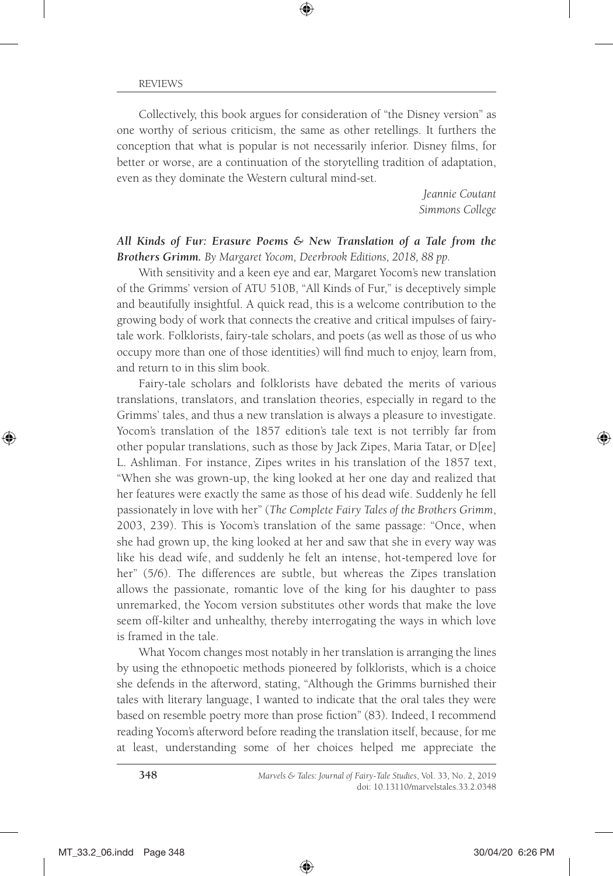Collectively, this book argues for consideration of "the Disney version" as one worthy of serious criticism, the same as other retellings. It furthers the conception that what is popular is not necessarily inferior. Disney films, for better or worse, are a continuation of the storytelling tradition of adaptation, even as they dominate the Western cultural mind-set.

> *Jeannie Coutant Simmons College*

*All Kinds of Fur: Erasure Poems & New Translation of a Tale from the Brothers Grimm. By Margaret Yocom, Deerbrook Editions, 2018, 88 pp.*

With sensitivity and a keen eye and ear, Margaret Yocom's new translation of the Grimms' version of ATU 510B, "All Kinds of Fur," is deceptively simple and beautifully insightful. A quick read, this is a welcome contribution to the growing body of work that connects the creative and critical impulses of fairytale work. Folklorists, fairy-tale scholars, and poets (as well as those of us who occupy more than one of those identities) will find much to enjoy, learn from, and return to in this slim book.

Fairy-tale scholars and folklorists have debated the merits of various translations, translators, and translation theories, especially in regard to the Grimms' tales, and thus a new translation is always a pleasure to investigate. Yocom's translation of the 1857 edition's tale text is not terribly far from other popular translations, such as those by Jack Zipes, Maria Tatar, or D[ee] L. Ashliman. For instance, Zipes writes in his translation of the 1857 text, "When she was grown-up, the king looked at her one day and realized that her features were exactly the same as those of his dead wife. Suddenly he fell passionately in love with her" (*The Complete Fairy Tales of the Brothers Grimm*, 2003, 239). This is Yocom's translation of the same passage: "Once, when she had grown up, the king looked at her and saw that she in every way was like his dead wife, and suddenly he felt an intense, hot-tempered love for her" (5/6). The differences are subtle, but whereas the Zipes translation allows the passionate, romantic love of the king for his daughter to pass unremarked, the Yocom version substitutes other words that make the love seem off-kilter and unhealthy, thereby interrogating the ways in which love is framed in the tale.

What Yocom changes most notably in her translation is arranging the lines by using the ethnopoetic methods pioneered by folklorists, which is a choice she defends in the afterword, stating, "Although the Grimms burnished their tales with literary language, I wanted to indicate that the oral tales they were based on resemble poetry more than prose fiction" (83). Indeed, I recommend reading Yocom's afterword before reading the translation itself, because, for me at least, understanding some of her choices helped me appreciate the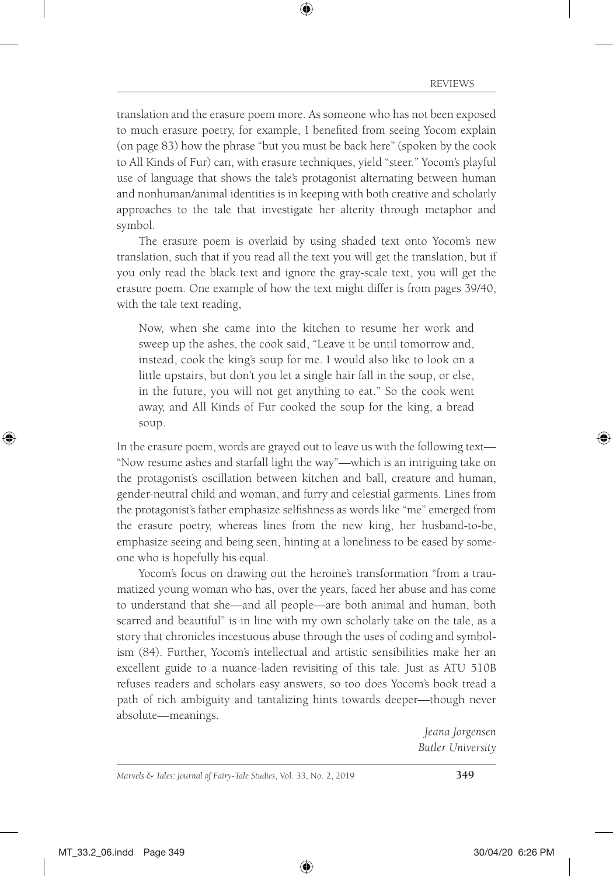translation and the erasure poem more. As someone who has not been exposed to much erasure poetry, for example, I benefited from seeing Yocom explain (on page 83) how the phrase "but you must be back here" (spoken by the cook to All Kinds of Fur) can, with erasure techniques, yield "steer." Yocom's playful use of language that shows the tale's protagonist alternating between human and nonhuman/animal identities is in keeping with both creative and scholarly approaches to the tale that investigate her alterity through metaphor and symbol.

The erasure poem is overlaid by using shaded text onto Yocom's new translation, such that if you read all the text you will get the translation, but if you only read the black text and ignore the gray-scale text, you will get the erasure poem. One example of how the text might differ is from pages 39/40, with the tale text reading,

Now, when she came into the kitchen to resume her work and sweep up the ashes, the cook said, "Leave it be until tomorrow and, instead, cook the king's soup for me. I would also like to look on a little upstairs, but don't you let a single hair fall in the soup, or else, in the future, you will not get anything to eat." So the cook went away, and All Kinds of Fur cooked the soup for the king, a bread soup.

In the erasure poem, words are grayed out to leave us with the following text— "Now resume ashes and starfall light the way"—which is an intriguing take on the protagonist's oscillation between kitchen and ball, creature and human, gender-neutral child and woman, and furry and celestial garments. Lines from the protagonist's father emphasize selfishness as words like "me" emerged from the erasure poetry, whereas lines from the new king, her husband-to-be, emphasize seeing and being seen, hinting at a loneliness to be eased by someone who is hopefully his equal.

Yocom's focus on drawing out the heroine's transformation "from a traumatized young woman who has, over the years, faced her abuse and has come to understand that she—and all people—are both animal and human, both scarred and beautiful" is in line with my own scholarly take on the tale, as a story that chronicles incestuous abuse through the uses of coding and symbolism (84). Further, Yocom's intellectual and artistic sensibilities make her an excellent guide to a nuance-laden revisiting of this tale. Just as ATU 510B refuses readers and scholars easy answers, so too does Yocom's book tread a path of rich ambiguity and tantalizing hints towards deeper—though never absolute—meanings.

> *Jeana Jorgensen Butler University*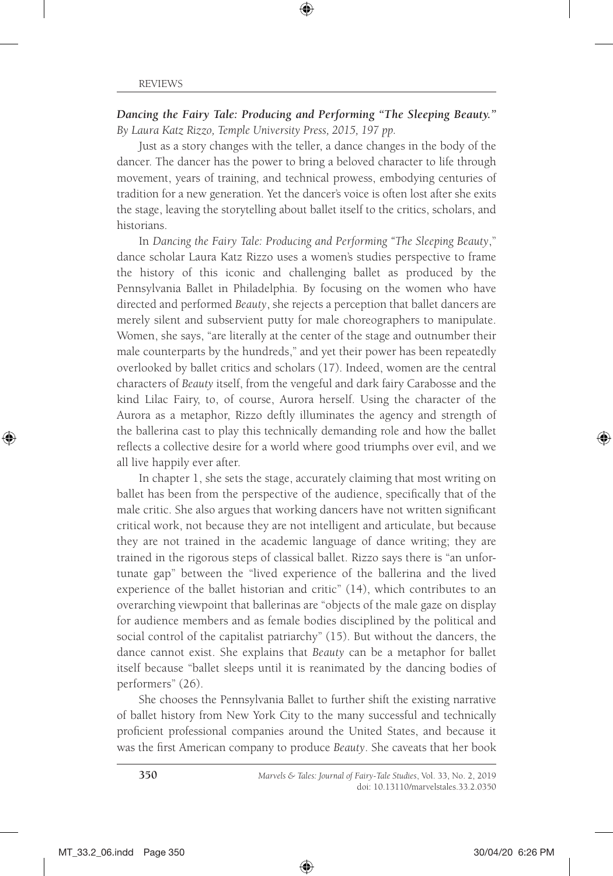*Dancing the Fairy Tale: Producing and Performing "The Sleeping Beauty." By Laura Katz Rizzo, Temple University Press, 2015, 197 pp.*

Just as a story changes with the teller, a dance changes in the body of the dancer. The dancer has the power to bring a beloved character to life through movement, years of training, and technical prowess, embodying centuries of tradition for a new generation. Yet the dancer's voice is often lost after she exits the stage, leaving the storytelling about ballet itself to the critics, scholars, and historians.

In *Dancing the Fairy Tale: Producing and Performing "The Sleeping Beauty*," dance scholar Laura Katz Rizzo uses a women's studies perspective to frame the history of this iconic and challenging ballet as produced by the Pennsylvania Ballet in Philadelphia. By focusing on the women who have directed and performed *Beauty*, she rejects a perception that ballet dancers are merely silent and subservient putty for male choreographers to manipulate. Women, she says, "are literally at the center of the stage and outnumber their male counterparts by the hundreds," and yet their power has been repeatedly overlooked by ballet critics and scholars (17). Indeed, women are the central characters of *Beauty* itself, from the vengeful and dark fairy Carabosse and the kind Lilac Fairy, to, of course, Aurora herself. Using the character of the Aurora as a metaphor, Rizzo deftly illuminates the agency and strength of the ballerina cast to play this technically demanding role and how the ballet reflects a collective desire for a world where good triumphs over evil, and we all live happily ever after.

In chapter 1, she sets the stage, accurately claiming that most writing on ballet has been from the perspective of the audience, specifically that of the male critic. She also argues that working dancers have not written significant critical work, not because they are not intelligent and articulate, but because they are not trained in the academic language of dance writing; they are trained in the rigorous steps of classical ballet. Rizzo says there is "an unfortunate gap" between the "lived experience of the ballerina and the lived experience of the ballet historian and critic" (14), which contributes to an overarching viewpoint that ballerinas are "objects of the male gaze on display for audience members and as female bodies disciplined by the political and social control of the capitalist patriarchy" (15). But without the dancers, the dance cannot exist. She explains that *Beauty* can be a metaphor for ballet itself because "ballet sleeps until it is reanimated by the dancing bodies of performers" (26).

She chooses the Pennsylvania Ballet to further shift the existing narrative of ballet history from New York City to the many successful and technically proficient professional companies around the United States, and because it was the first American company to produce *Beauty*. She caveats that her book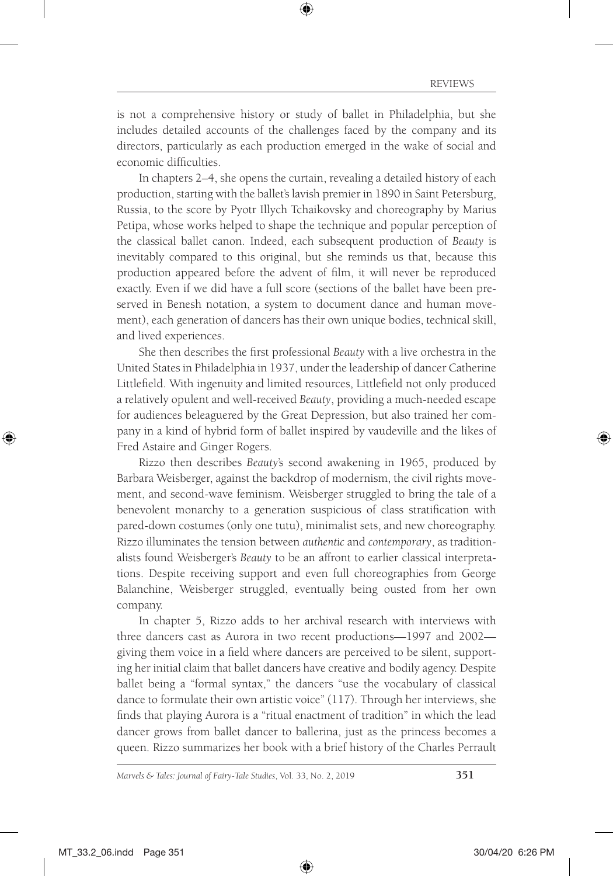is not a comprehensive history or study of ballet in Philadelphia, but she includes detailed accounts of the challenges faced by the company and its directors, particularly as each production emerged in the wake of social and economic difficulties.

In chapters 2–4, she opens the curtain, revealing a detailed history of each production, starting with the ballet's lavish premier in 1890 in Saint Petersburg, Russia, to the score by Pyotr Illych Tchaikovsky and choreography by Marius Petipa, whose works helped to shape the technique and popular perception of the classical ballet canon. Indeed, each subsequent production of *Beauty* is inevitably compared to this original, but she reminds us that, because this production appeared before the advent of film, it will never be reproduced exactly. Even if we did have a full score (sections of the ballet have been preserved in Benesh notation, a system to document dance and human movement), each generation of dancers has their own unique bodies, technical skill, and lived experiences.

She then describes the first professional *Beauty* with a live orchestra in the United States in Philadelphia in 1937, under the leadership of dancer Catherine Littlefield. With ingenuity and limited resources, Littlefield not only produced a relatively opulent and well-received *Beauty*, providing a much-needed escape for audiences beleaguered by the Great Depression, but also trained her company in a kind of hybrid form of ballet inspired by vaudeville and the likes of Fred Astaire and Ginger Rogers.

Rizzo then describes *Beauty*'s second awakening in 1965, produced by Barbara Weisberger, against the backdrop of modernism, the civil rights movement, and second-wave feminism. Weisberger struggled to bring the tale of a benevolent monarchy to a generation suspicious of class stratification with pared-down costumes (only one tutu), minimalist sets, and new choreography. Rizzo illuminates the tension between *authentic* and *contemporary*, as traditionalists found Weisberger's *Beauty* to be an affront to earlier classical interpretations. Despite receiving support and even full choreographies from George Balanchine, Weisberger struggled, eventually being ousted from her own company.

In chapter 5, Rizzo adds to her archival research with interviews with three dancers cast as Aurora in two recent productions—1997 and 2002 giving them voice in a field where dancers are perceived to be silent, supporting her initial claim that ballet dancers have creative and bodily agency. Despite ballet being a "formal syntax," the dancers "use the vocabulary of classical dance to formulate their own artistic voice" (117). Through her interviews, she finds that playing Aurora is a "ritual enactment of tradition" in which the lead dancer grows from ballet dancer to ballerina, just as the princess becomes a queen. Rizzo summarizes her book with a brief history of the Charles Perrault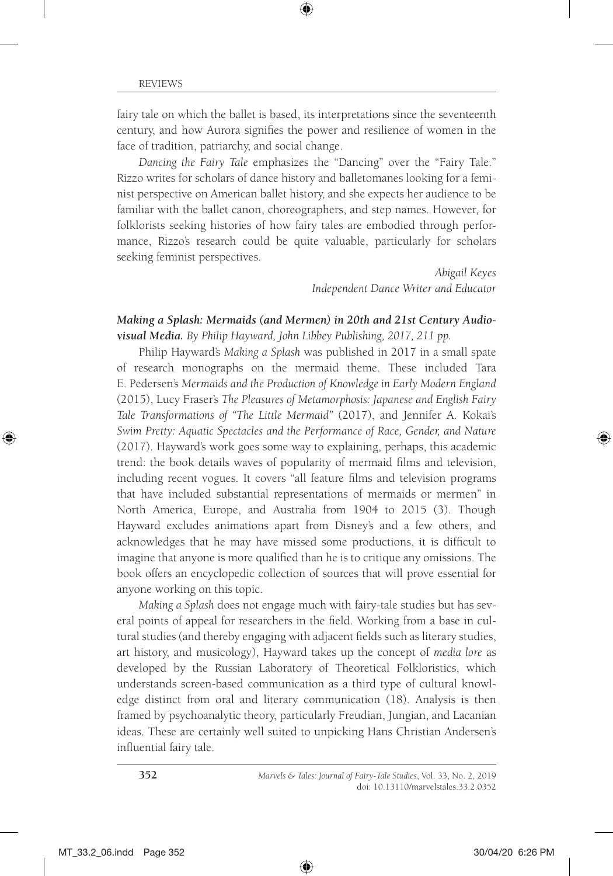fairy tale on which the ballet is based, its interpretations since the seventeenth century, and how Aurora signifies the power and resilience of women in the face of tradition, patriarchy, and social change.

*Dancing the Fairy Tale* emphasizes the "Dancing" over the "Fairy Tale." Rizzo writes for scholars of dance history and balletomanes looking for a feminist perspective on American ballet history, and she expects her audience to be familiar with the ballet canon, choreographers, and step names. However, for folklorists seeking histories of how fairy tales are embodied through performance, Rizzo's research could be quite valuable, particularly for scholars seeking feminist perspectives.

> *Abigail Keyes Independent Dance Writer and Educator*

#### *Making a Splash: Mermaids (and Mermen) in 20th and 21st Century Audiovisual Media. By Philip Hayward, John Libbey Publishing, 2017, 211 pp.*

Philip Hayward's *Making a Splash* was published in 2017 in a small spate of research monographs on the mermaid theme. These included Tara E. Pedersen's *Mermaids and the Production of Knowledge in Early Modern England* (2015), Lucy Fraser's *The Pleasures of Metamorphosis: Japanese and English Fairy Tale Transformations of "The Little Mermaid"* (2017), and Jennifer A. Kokai's *Swim Pretty: Aquatic Spectacles and the Performance of Race, Gender, and Nature* (2017). Hayward's work goes some way to explaining, perhaps, this academic trend: the book details waves of popularity of mermaid films and television, including recent vogues. It covers "all feature films and television programs that have included substantial representations of mermaids or mermen" in North America, Europe, and Australia from 1904 to 2015 (3). Though Hayward excludes animations apart from Disney's and a few others, and acknowledges that he may have missed some productions, it is difficult to imagine that anyone is more qualified than he is to critique any omissions. The book offers an encyclopedic collection of sources that will prove essential for anyone working on this topic.

*Making a Splash* does not engage much with fairy-tale studies but has several points of appeal for researchers in the field. Working from a base in cultural studies (and thereby engaging with adjacent fields such as literary studies, art history, and musicology), Hayward takes up the concept of *media lore* as developed by the Russian Laboratory of Theoretical Folkloristics, which understands screen-based communication as a third type of cultural knowledge distinct from oral and literary communication (18). Analysis is then framed by psychoanalytic theory, particularly Freudian, Jungian, and Lacanian ideas. These are certainly well suited to unpicking Hans Christian Andersen's influential fairy tale.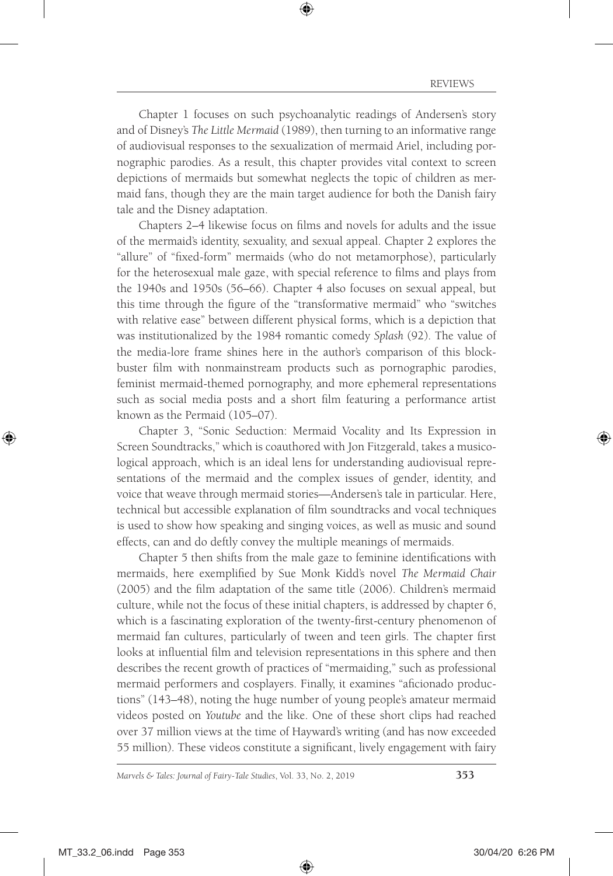Chapter 1 focuses on such psychoanalytic readings of Andersen's story and of Disney's *The Little Mermaid* (1989), then turning to an informative range of audiovisual responses to the sexualization of mermaid Ariel, including pornographic parodies. As a result, this chapter provides vital context to screen depictions of mermaids but somewhat neglects the topic of children as mermaid fans, though they are the main target audience for both the Danish fairy tale and the Disney adaptation.

Chapters 2–4 likewise focus on films and novels for adults and the issue of the mermaid's identity, sexuality, and sexual appeal. Chapter 2 explores the "allure" of "fixed-form" mermaids (who do not metamorphose), particularly for the heterosexual male gaze, with special reference to films and plays from the 1940s and 1950s (56–66). Chapter 4 also focuses on sexual appeal, but this time through the figure of the "transformative mermaid" who "switches with relative ease" between different physical forms, which is a depiction that was institutionalized by the 1984 romantic comedy *Splash* (92). The value of the media-lore frame shines here in the author's comparison of this blockbuster film with nonmainstream products such as pornographic parodies, feminist mermaid-themed pornography, and more ephemeral representations such as social media posts and a short film featuring a performance artist known as the Permaid (105–07).

Chapter 3, "Sonic Seduction: Mermaid Vocality and Its Expression in Screen Soundtracks," which is coauthored with Jon Fitzgerald, takes a musicological approach, which is an ideal lens for understanding audiovisual representations of the mermaid and the complex issues of gender, identity, and voice that weave through mermaid stories—Andersen's tale in particular. Here, technical but accessible explanation of film soundtracks and vocal techniques is used to show how speaking and singing voices, as well as music and sound effects, can and do deftly convey the multiple meanings of mermaids.

Chapter 5 then shifts from the male gaze to feminine identifications with mermaids, here exemplified by Sue Monk Kidd's novel *The Mermaid Chair* (2005) and the film adaptation of the same title (2006). Children's mermaid culture, while not the focus of these initial chapters, is addressed by chapter 6, which is a fascinating exploration of the twenty-first-century phenomenon of mermaid fan cultures, particularly of tween and teen girls. The chapter first looks at influential film and television representations in this sphere and then describes the recent growth of practices of "mermaiding," such as professional mermaid performers and cosplayers. Finally, it examines "aficionado productions" (143–48), noting the huge number of young people's amateur mermaid videos posted on *Youtube* and the like. One of these short clips had reached over 37 million views at the time of Hayward's writing (and has now exceeded 55 million). These videos constitute a significant, lively engagement with fairy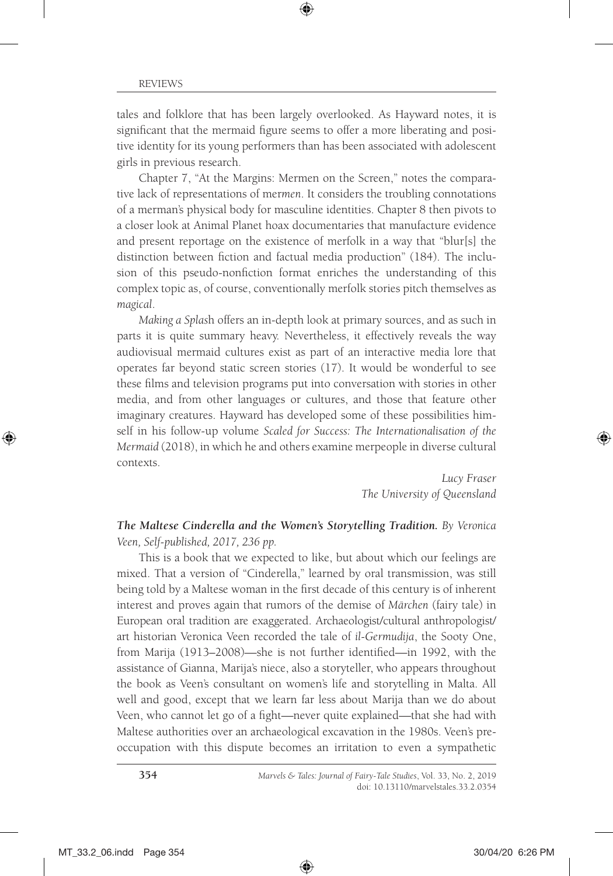tales and folklore that has been largely overlooked. As Hayward notes, it is significant that the mermaid figure seems to offer a more liberating and positive identity for its young performers than has been associated with adolescent girls in previous research.

Chapter 7, "At the Margins: Mermen on the Screen," notes the comparative lack of representations of mer*men*. It considers the troubling connotations of a merman's physical body for masculine identities. Chapter 8 then pivots to a closer look at Animal Planet hoax documentaries that manufacture evidence and present reportage on the existence of merfolk in a way that "blur[s] the distinction between fiction and factual media production" (184). The inclusion of this pseudo-nonfiction format enriches the understanding of this complex topic as, of course, conventionally merfolk stories pitch themselves as *magical*.

*Making a Splas*h offers an in-depth look at primary sources, and as such in parts it is quite summary heavy. Nevertheless, it effectively reveals the way audiovisual mermaid cultures exist as part of an interactive media lore that operates far beyond static screen stories (17). It would be wonderful to see these films and television programs put into conversation with stories in other media, and from other languages or cultures, and those that feature other imaginary creatures. Hayward has developed some of these possibilities himself in his follow-up volume *Scaled for Success: The Internationalisation of the Mermaid* (2018), in which he and others examine merpeople in diverse cultural contexts.

> *Lucy Fraser The University of Queensland*

### *The Maltese Cinderella and the Women's Storytelling Tradition. By Veronica Veen, Self-published, 2017, 236 pp.*

This is a book that we expected to like, but about which our feelings are mixed. That a version of "Cinderella," learned by oral transmission, was still being told by a Maltese woman in the first decade of this century is of inherent interest and proves again that rumors of the demise of *Märchen* (fairy tale) in European oral tradition are exaggerated. Archaeologist/cultural anthropologist/ art historian Veronica Veen recorded the tale of *il-Germudija*, the Sooty One, from Marija (1913–2008)—she is not further identified—in 1992, with the assistance of Gianna, Marija's niece, also a storyteller, who appears throughout the book as Veen's consultant on women's life and storytelling in Malta. All well and good, except that we learn far less about Marija than we do about Veen, who cannot let go of a fight—never quite explained—that she had with Maltese authorities over an archaeological excavation in the 1980s. Veen's preoccupation with this dispute becomes an irritation to even a sympathetic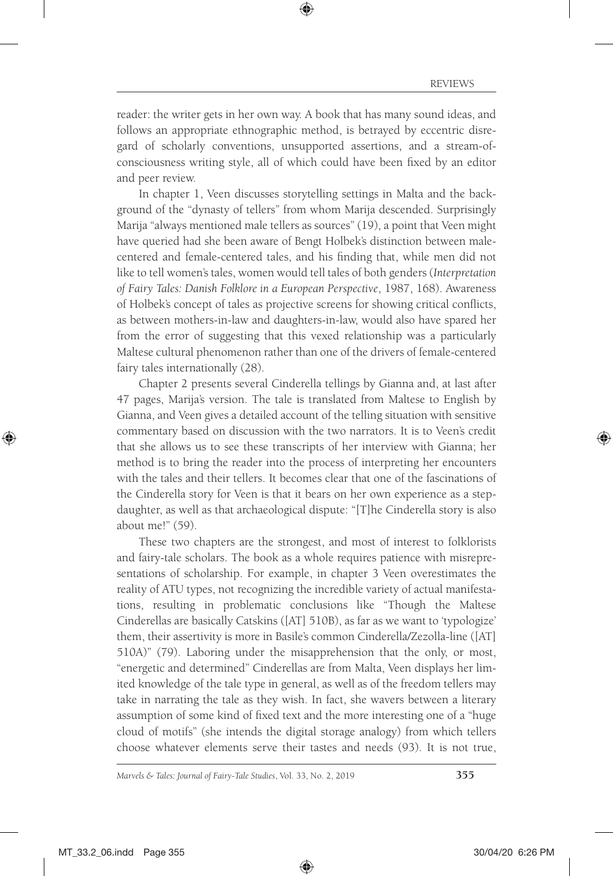reader: the writer gets in her own way. A book that has many sound ideas, and follows an appropriate ethnographic method, is betrayed by eccentric disregard of scholarly conventions, unsupported assertions, and a stream-ofconsciousness writing style, all of which could have been fixed by an editor and peer review.

In chapter 1, Veen discusses storytelling settings in Malta and the background of the "dynasty of tellers" from whom Marija descended. Surprisingly Marija "always mentioned male tellers as sources" (19), a point that Veen might have queried had she been aware of Bengt Holbek's distinction between malecentered and female-centered tales, and his finding that, while men did not like to tell women's tales, women would tell tales of both genders (*Interpretation of Fairy Tales: Danish Folklore in a European Perspective*, 1987, 168). Awareness of Holbek's concept of tales as projective screens for showing critical conflicts, as between mothers-in-law and daughters-in-law, would also have spared her from the error of suggesting that this vexed relationship was a particularly Maltese cultural phenomenon rather than one of the drivers of female-centered fairy tales internationally (28).

Chapter 2 presents several Cinderella tellings by Gianna and, at last after 47 pages, Marija's version. The tale is translated from Maltese to English by Gianna, and Veen gives a detailed account of the telling situation with sensitive commentary based on discussion with the two narrators. It is to Veen's credit that she allows us to see these transcripts of her interview with Gianna; her method is to bring the reader into the process of interpreting her encounters with the tales and their tellers. It becomes clear that one of the fascinations of the Cinderella story for Veen is that it bears on her own experience as a stepdaughter, as well as that archaeological dispute: "[T]he Cinderella story is also about me!" (59).

These two chapters are the strongest, and most of interest to folklorists and fairy-tale scholars. The book as a whole requires patience with misrepresentations of scholarship. For example, in chapter 3 Veen overestimates the reality of ATU types, not recognizing the incredible variety of actual manifestations, resulting in problematic conclusions like "Though the Maltese Cinderellas are basically Catskins ([AT] 510B), as far as we want to 'typologize' them, their assertivity is more in Basile's common Cinderella/Zezolla-line ([AT] 510A)" (79). Laboring under the misapprehension that the only, or most, "energetic and determined" Cinderellas are from Malta, Veen displays her limited knowledge of the tale type in general, as well as of the freedom tellers may take in narrating the tale as they wish. In fact, she wavers between a literary assumption of some kind of fixed text and the more interesting one of a "huge cloud of motifs" (she intends the digital storage analogy) from which tellers choose whatever elements serve their tastes and needs (93). It is not true,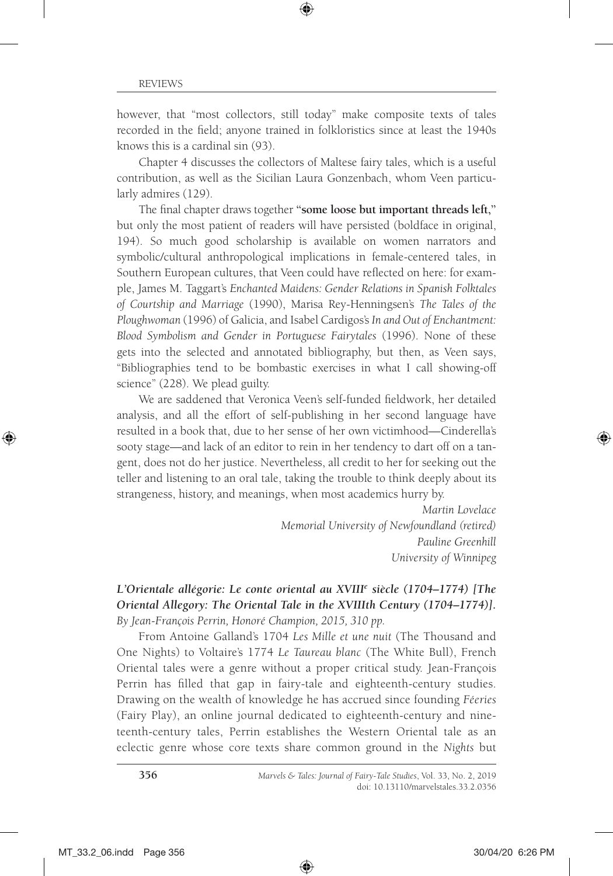however, that "most collectors, still today" make composite texts of tales recorded in the field; anyone trained in folkloristics since at least the 1940s knows this is a cardinal sin (93).

Chapter 4 discusses the collectors of Maltese fairy tales, which is a useful contribution, as well as the Sicilian Laura Gonzenbach, whom Veen particularly admires (129).

The final chapter draws together **"some loose but important threads left,"**  but only the most patient of readers will have persisted (boldface in original, 194). So much good scholarship is available on women narrators and symbolic/cultural anthropological implications in female-centered tales, in Southern European cultures, that Veen could have reflected on here: for example, James M. Taggart's *Enchanted Maidens: Gender Relations in Spanish Folktales of Courtship and Marriage* (1990), Marisa Rey-Henningsen's *The Tales of the Ploughwoman* (1996) of Galicia, and Isabel Cardigos's *In and Out of Enchantment: Blood Symbolism and Gender in Portuguese Fairytales* (1996). None of these gets into the selected and annotated bibliography, but then, as Veen says, "Bibliographies tend to be bombastic exercises in what I call showing-off science" (228). We plead guilty.

We are saddened that Veronica Veen's self-funded fieldwork, her detailed analysis, and all the effort of self-publishing in her second language have resulted in a book that, due to her sense of her own victimhood—Cinderella's sooty stage—and lack of an editor to rein in her tendency to dart off on a tangent, does not do her justice. Nevertheless, all credit to her for seeking out the teller and listening to an oral tale, taking the trouble to think deeply about its strangeness, history, and meanings, when most academics hurry by.

> *Martin Lovelace Memorial University of Newfoundland (retired) Pauline Greenhill University of Winnipeg*

#### *L'Orientale allégorie: Le conte oriental au XVIIIe siècle (1704–1774) [The Oriental Allegory: The Oriental Tale in the XVIIIth Century (1704–1774)]. By Jean-François Perrin, Honoré Champion, 2015, 310 pp.*

From Antoine Galland's 1704 *Les Mille et une nuit* (The Thousand and One Nights) to Voltaire's 1774 *Le Taureau blanc* (The White Bull), French Oriental tales were a genre without a proper critical study. Jean-François Perrin has filled that gap in fairy-tale and eighteenth-century studies. Drawing on the wealth of knowledge he has accrued since founding *Féeries* (Fairy Play), an online journal dedicated to eighteenth-century and nineteenth-century tales, Perrin establishes the Western Oriental tale as an eclectic genre whose core texts share common ground in the *Nights* but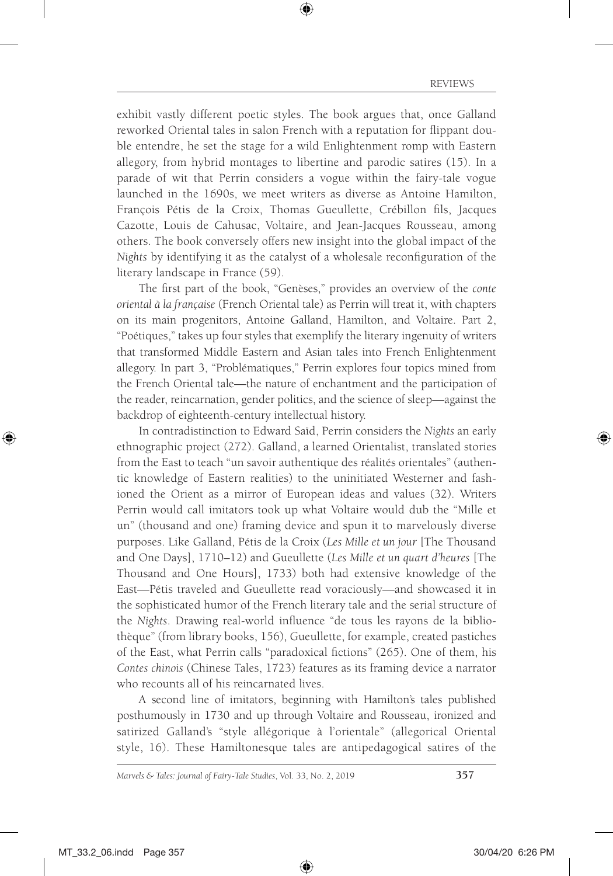exhibit vastly different poetic styles. The book argues that, once Galland reworked Oriental tales in salon French with a reputation for flippant double entendre, he set the stage for a wild Enlightenment romp with Eastern allegory, from hybrid montages to libertine and parodic satires (15). In a parade of wit that Perrin considers a vogue within the fairy-tale vogue launched in the 1690s, we meet writers as diverse as Antoine Hamilton, François Pétis de la Croix, Thomas Gueullette, Crébillon fils, Jacques Cazotte, Louis de Cahusac, Voltaire, and Jean-Jacques Rousseau, among others. The book conversely offers new insight into the global impact of the *Nights* by identifying it as the catalyst of a wholesale reconfiguration of the literary landscape in France (59).

The first part of the book, "Genèses," provides an overview of the *conte oriental à la française* (French Oriental tale) as Perrin will treat it, with chapters on its main progenitors, Antoine Galland, Hamilton, and Voltaire. Part 2, "Poétiques," takes up four styles that exemplify the literary ingenuity of writers that transformed Middle Eastern and Asian tales into French Enlightenment allegory. In part 3, "Problématiques," Perrin explores four topics mined from the French Oriental tale—the nature of enchantment and the participation of the reader, reincarnation, gender politics, and the science of sleep—against the backdrop of eighteenth-century intellectual history.

In contradistinction to Edward Saïd, Perrin considers the *Nights* an early ethnographic project (272). Galland, a learned Orientalist, translated stories from the East to teach "un savoir authentique des réalités orientales" (authentic knowledge of Eastern realities) to the uninitiated Westerner and fashioned the Orient as a mirror of European ideas and values (32). Writers Perrin would call imitators took up what Voltaire would dub the "Mille et un" (thousand and one) framing device and spun it to marvelously diverse purposes. Like Galland, Pétis de la Croix (*Les Mille et un jour* [The Thousand and One Days], 1710–12) and Gueullette (*Les Mille et un quart d'heures* [The Thousand and One Hours], 1733) both had extensive knowledge of the East—Pétis traveled and Gueullette read voraciously—and showcased it in the sophisticated humor of the French literary tale and the serial structure of the *Nights*. Drawing real-world influence "de tous les rayons de la bibliothèque" (from library books, 156), Gueullette, for example, created pastiches of the East, what Perrin calls "paradoxical fictions" (265). One of them, his *Contes chinois* (Chinese Tales, 1723) features as its framing device a narrator who recounts all of his reincarnated lives.

A second line of imitators, beginning with Hamilton's tales published posthumously in 1730 and up through Voltaire and Rousseau, ironized and satirized Galland's "style allégorique à l'orientale" (allegorical Oriental style, 16). These Hamiltonesque tales are antipedagogical satires of the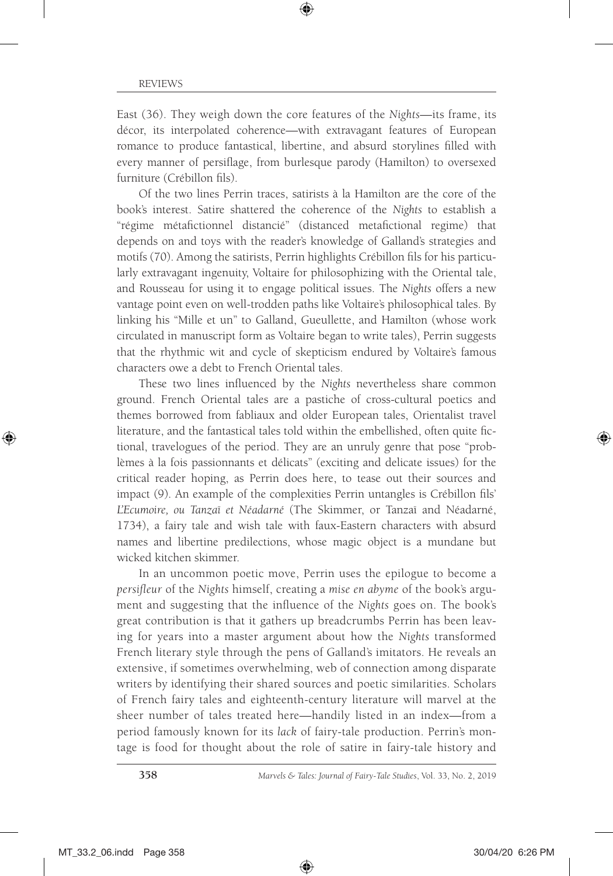East (36). They weigh down the core features of the *Nights*—its frame, its décor, its interpolated coherence—with extravagant features of European romance to produce fantastical, libertine, and absurd storylines filled with every manner of persiflage, from burlesque parody (Hamilton) to oversexed furniture (Crébillon fils).

Of the two lines Perrin traces, satirists à la Hamilton are the core of the book's interest. Satire shattered the coherence of the *Nights* to establish a "régime métafictionnel distancié" (distanced metafictional regime) that depends on and toys with the reader's knowledge of Galland's strategies and motifs (70). Among the satirists, Perrin highlights Crébillon fils for his particularly extravagant ingenuity, Voltaire for philosophizing with the Oriental tale, and Rousseau for using it to engage political issues. The *Nights* offers a new vantage point even on well-trodden paths like Voltaire's philosophical tales. By linking his "Mille et un" to Galland, Gueullette, and Hamilton (whose work circulated in manuscript form as Voltaire began to write tales), Perrin suggests that the rhythmic wit and cycle of skepticism endured by Voltaire's famous characters owe a debt to French Oriental tales.

These two lines influenced by the *Nights* nevertheless share common ground. French Oriental tales are a pastiche of cross-cultural poetics and themes borrowed from fabliaux and older European tales, Orientalist travel literature, and the fantastical tales told within the embellished, often quite fictional, travelogues of the period. They are an unruly genre that pose "problèmes à la fois passionnants et délicats" (exciting and delicate issues) for the critical reader hoping, as Perrin does here, to tease out their sources and impact (9). An example of the complexities Perrin untangles is Crébillon fils' *L'Ecumoire, ou Tanzaï et Néadarné* (The Skimmer, or Tanzaï and Néadarné, 1734), a fairy tale and wish tale with faux-Eastern characters with absurd names and libertine predilections, whose magic object is a mundane but wicked kitchen skimmer.

In an uncommon poetic move, Perrin uses the epilogue to become a *persifleur* of the *Nights* himself, creating a *mise en abyme* of the book's argument and suggesting that the influence of the *Nights* goes on. The book's great contribution is that it gathers up breadcrumbs Perrin has been leaving for years into a master argument about how the *Nights* transformed French literary style through the pens of Galland's imitators. He reveals an extensive, if sometimes overwhelming, web of connection among disparate writers by identifying their shared sources and poetic similarities. Scholars of French fairy tales and eighteenth-century literature will marvel at the sheer number of tales treated here—handily listed in an index—from a period famously known for its *lack* of fairy-tale production. Perrin's montage is food for thought about the role of satire in fairy-tale history and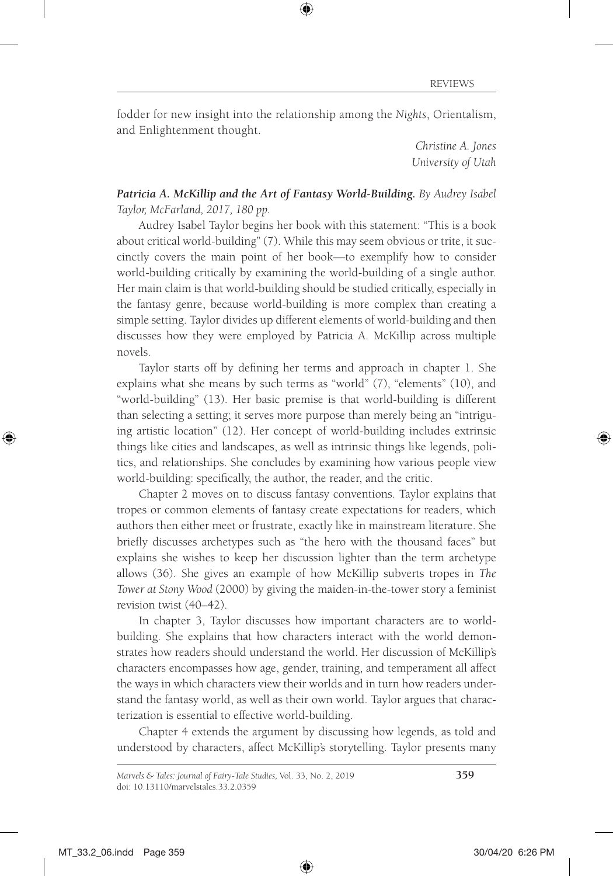fodder for new insight into the relationship among the *Nights*, Orientalism, and Enlightenment thought.

> *Christine A. Jones University of Utah*

*Patricia A. McKillip and the Art of Fantasy World-Building. By Audrey Isabel Taylor, McFarland, 2017, 180 pp.*

Audrey Isabel Taylor begins her book with this statement: "This is a book about critical world-building" (7). While this may seem obvious or trite, it succinctly covers the main point of her book—to exemplify how to consider world-building critically by examining the world-building of a single author. Her main claim is that world-building should be studied critically, especially in the fantasy genre, because world-building is more complex than creating a simple setting. Taylor divides up different elements of world-building and then discusses how they were employed by Patricia A. McKillip across multiple novels.

Taylor starts off by defining her terms and approach in chapter 1. She explains what she means by such terms as "world" (7), "elements" (10), and "world-building" (13). Her basic premise is that world-building is different than selecting a setting; it serves more purpose than merely being an "intriguing artistic location" (12). Her concept of world-building includes extrinsic things like cities and landscapes, as well as intrinsic things like legends, politics, and relationships. She concludes by examining how various people view world-building: specifically, the author, the reader, and the critic.

Chapter 2 moves on to discuss fantasy conventions. Taylor explains that tropes or common elements of fantasy create expectations for readers, which authors then either meet or frustrate, exactly like in mainstream literature. She briefly discusses archetypes such as "the hero with the thousand faces" but explains she wishes to keep her discussion lighter than the term archetype allows (36). She gives an example of how McKillip subverts tropes in *The Tower at Stony Wood* (2000) by giving the maiden-in-the-tower story a feminist revision twist (40–42).

In chapter 3, Taylor discusses how important characters are to worldbuilding. She explains that how characters interact with the world demonstrates how readers should understand the world. Her discussion of McKillip's characters encompasses how age, gender, training, and temperament all affect the ways in which characters view their worlds and in turn how readers understand the fantasy world, as well as their own world. Taylor argues that characterization is essential to effective world-building.

Chapter 4 extends the argument by discussing how legends, as told and understood by characters, affect McKillip's storytelling. Taylor presents many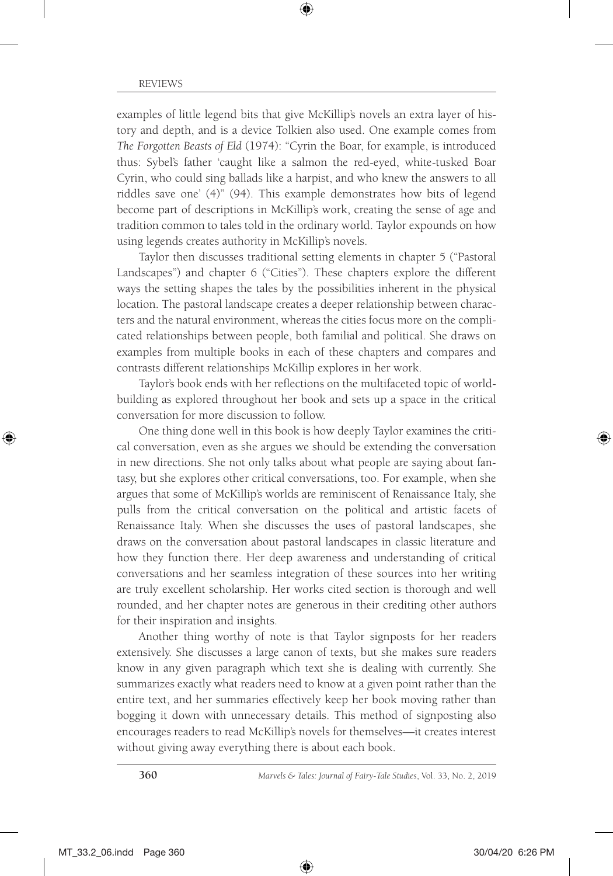examples of little legend bits that give McKillip's novels an extra layer of history and depth, and is a device Tolkien also used. One example comes from *The Forgotten Beasts of Eld* (1974): "Cyrin the Boar, for example, is introduced thus: Sybel's father 'caught like a salmon the red-eyed, white-tusked Boar Cyrin, who could sing ballads like a harpist, and who knew the answers to all riddles save one' (4)" (94). This example demonstrates how bits of legend become part of descriptions in McKillip's work, creating the sense of age and tradition common to tales told in the ordinary world. Taylor expounds on how using legends creates authority in McKillip's novels.

Taylor then discusses traditional setting elements in chapter 5 ("Pastoral Landscapes") and chapter 6 ("Cities"). These chapters explore the different ways the setting shapes the tales by the possibilities inherent in the physical location. The pastoral landscape creates a deeper relationship between characters and the natural environment, whereas the cities focus more on the complicated relationships between people, both familial and political. She draws on examples from multiple books in each of these chapters and compares and contrasts different relationships McKillip explores in her work.

Taylor's book ends with her reflections on the multifaceted topic of worldbuilding as explored throughout her book and sets up a space in the critical conversation for more discussion to follow.

One thing done well in this book is how deeply Taylor examines the critical conversation, even as she argues we should be extending the conversation in new directions. She not only talks about what people are saying about fantasy, but she explores other critical conversations, too. For example, when she argues that some of McKillip's worlds are reminiscent of Renaissance Italy, she pulls from the critical conversation on the political and artistic facets of Renaissance Italy. When she discusses the uses of pastoral landscapes, she draws on the conversation about pastoral landscapes in classic literature and how they function there. Her deep awareness and understanding of critical conversations and her seamless integration of these sources into her writing are truly excellent scholarship. Her works cited section is thorough and well rounded, and her chapter notes are generous in their crediting other authors for their inspiration and insights.

Another thing worthy of note is that Taylor signposts for her readers extensively. She discusses a large canon of texts, but she makes sure readers know in any given paragraph which text she is dealing with currently. She summarizes exactly what readers need to know at a given point rather than the entire text, and her summaries effectively keep her book moving rather than bogging it down with unnecessary details. This method of signposting also encourages readers to read McKillip's novels for themselves—it creates interest without giving away everything there is about each book.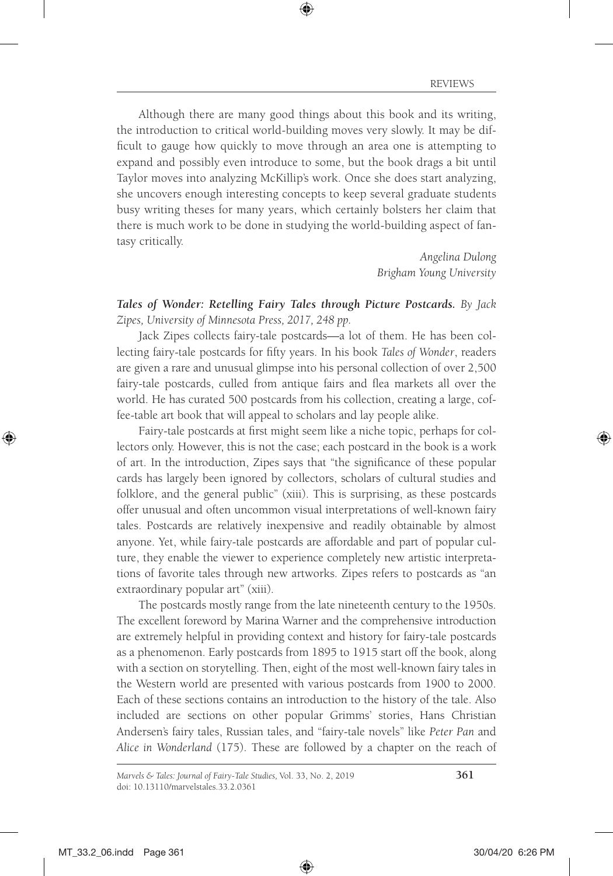Although there are many good things about this book and its writing, the introduction to critical world-building moves very slowly. It may be difficult to gauge how quickly to move through an area one is attempting to expand and possibly even introduce to some, but the book drags a bit until Taylor moves into analyzing McKillip's work. Once she does start analyzing, she uncovers enough interesting concepts to keep several graduate students busy writing theses for many years, which certainly bolsters her claim that there is much work to be done in studying the world-building aspect of fantasy critically.

> *Angelina Dulong Brigham Young University*

*Tales of Wonder: Retelling Fairy Tales through Picture Postcards. By Jack Zipes, University of Minnesota Press, 2017, 248 pp.*

Jack Zipes collects fairy-tale postcards—a lot of them. He has been collecting fairy-tale postcards for fifty years. In his book *Tales of Wonder*, readers are given a rare and unusual glimpse into his personal collection of over 2,500 fairy-tale postcards, culled from antique fairs and flea markets all over the world. He has curated 500 postcards from his collection, creating a large, coffee-table art book that will appeal to scholars and lay people alike.

Fairy-tale postcards at first might seem like a niche topic, perhaps for collectors only. However, this is not the case; each postcard in the book is a work of art. In the introduction, Zipes says that "the significance of these popular cards has largely been ignored by collectors, scholars of cultural studies and folklore, and the general public" (xiii). This is surprising, as these postcards offer unusual and often uncommon visual interpretations of well-known fairy tales. Postcards are relatively inexpensive and readily obtainable by almost anyone. Yet, while fairy-tale postcards are affordable and part of popular culture, they enable the viewer to experience completely new artistic interpretations of favorite tales through new artworks. Zipes refers to postcards as "an extraordinary popular art" (xiii).

The postcards mostly range from the late nineteenth century to the 1950s. The excellent foreword by Marina Warner and the comprehensive introduction are extremely helpful in providing context and history for fairy-tale postcards as a phenomenon. Early postcards from 1895 to 1915 start off the book, along with a section on storytelling. Then, eight of the most well-known fairy tales in the Western world are presented with various postcards from 1900 to 2000. Each of these sections contains an introduction to the history of the tale. Also included are sections on other popular Grimms' stories, Hans Christian Andersen's fairy tales, Russian tales, and "fairy-tale novels" like *Peter Pan* and *Alice in Wonderland* (175). These are followed by a chapter on the reach of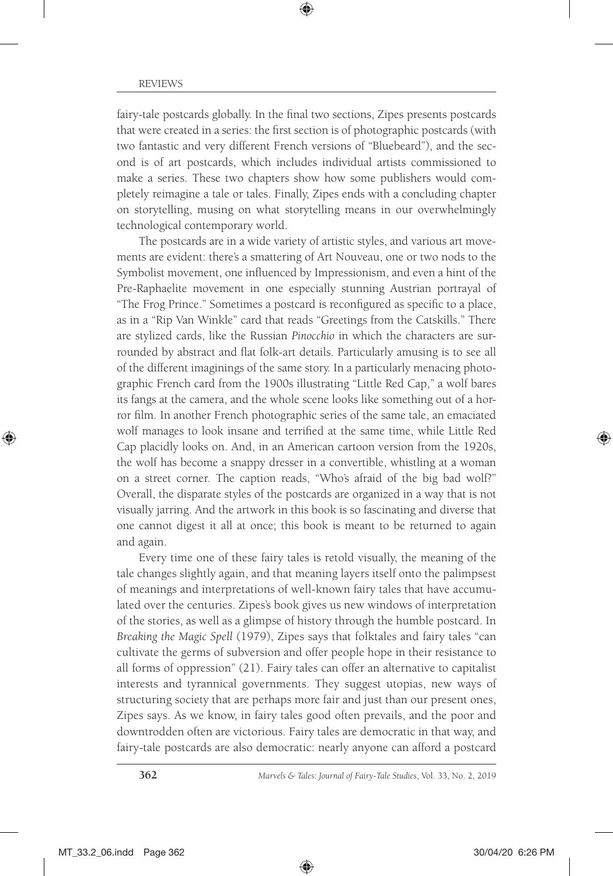fairy-tale postcards globally. In the final two sections, Zipes presents postcards that were created in a series: the first section is of photographic postcards (with two fantastic and very different French versions of "Bluebeard"), and the second is of art postcards, which includes individual artists commissioned to make a series. These two chapters show how some publishers would completely reimagine a tale or tales. Finally, Zipes ends with a concluding chapter on storytelling, musing on what storytelling means in our overwhelmingly technological contemporary world.

The postcards are in a wide variety of artistic styles, and various art movements are evident: there's a smattering of Art Nouveau, one or two nods to the Symbolist movement, one influenced by Impressionism, and even a hint of the Pre-Raphaelite movement in one especially stunning Austrian portrayal of "The Frog Prince." Sometimes a postcard is reconfigured as specific to a place, as in a "Rip Van Winkle" card that reads "Greetings from the Catskills." There are stylized cards, like the Russian *Pinocchio* in which the characters are surrounded by abstract and flat folk-art details. Particularly amusing is to see all of the different imaginings of the same story. In a particularly menacing photographic French card from the 1900s illustrating "Little Red Cap," a wolf bares its fangs at the camera, and the whole scene looks like something out of a horror film. In another French photographic series of the same tale, an emaciated wolf manages to look insane and terrified at the same time, while Little Red Cap placidly looks on. And, in an American cartoon version from the 1920s, the wolf has become a snappy dresser in a convertible, whistling at a woman on a street corner. The caption reads, "Who's afraid of the big bad wolf?" Overall, the disparate styles of the postcards are organized in a way that is not visually jarring. And the artwork in this book is so fascinating and diverse that one cannot digest it all at once; this book is meant to be returned to again and again.

Every time one of these fairy tales is retold visually, the meaning of the tale changes slightly again, and that meaning layers itself onto the palimpsest of meanings and interpretations of well-known fairy tales that have accumulated over the centuries. Zipes's book gives us new windows of interpretation of the stories, as well as a glimpse of history through the humble postcard. In *Breaking the Magic Spell* (1979), Zipes says that folktales and fairy tales "can cultivate the germs of subversion and offer people hope in their resistance to all forms of oppression" (21). Fairy tales can offer an alternative to capitalist interests and tyrannical governments. They suggest utopias, new ways of structuring society that are perhaps more fair and just than our present ones, Zipes says. As we know, in fairy tales good often prevails, and the poor and downtrodden often are victorious. Fairy tales are democratic in that way, and fairy-tale postcards are also democratic: nearly anyone can afford a postcard